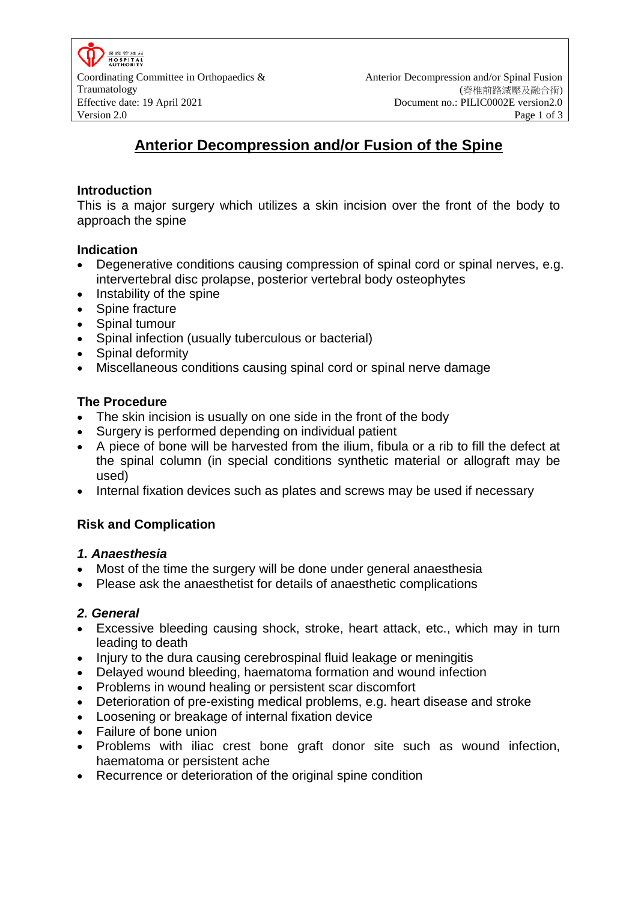零除管理局 **HOSPITAL**<br>AUTHORITY

# **Anterior Decompression and/or Fusion of the Spine**

### **Introduction**

This is a major surgery which utilizes a skin incision over the front of the body to approach the spine

### **Indication**

- Degenerative conditions causing compression of spinal cord or spinal nerves, e.g. intervertebral disc prolapse, posterior vertebral body osteophytes
- Instability of the spine
- Spine fracture
- Spinal tumour
- Spinal infection (usually tuberculous or bacterial)
- Spinal deformity
- Miscellaneous conditions causing spinal cord or spinal nerve damage

### **The Procedure**

- The skin incision is usually on one side in the front of the body
- Surgery is performed depending on individual patient
- A piece of bone will be harvested from the ilium, fibula or a rib to fill the defect at the spinal column (in special conditions synthetic material or allograft may be used)
- Internal fixation devices such as plates and screws may be used if necessary

### **Risk and Complication**

### *1. Anaesthesia*

- Most of the time the surgery will be done under general anaesthesia
- Please ask the anaesthetist for details of anaesthetic complications

### *2. General*

- Excessive bleeding causing shock, stroke, heart attack, etc., which may in turn leading to death
- Injury to the dura causing cerebrospinal fluid leakage or meningitis
- Delayed wound bleeding, haematoma formation and wound infection
- Problems in wound healing or persistent scar discomfort
- Deterioration of pre-existing medical problems, e.g. heart disease and stroke
- Loosening or breakage of internal fixation device
- Failure of bone union
- Problems with iliac crest bone graft donor site such as wound infection, haematoma or persistent ache
- Recurrence or deterioration of the original spine condition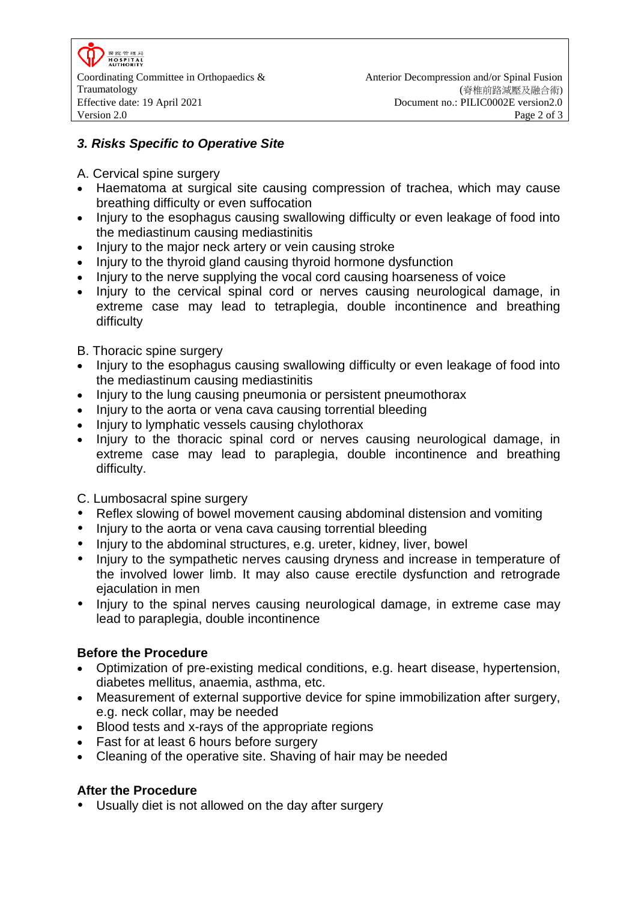MS RS: 49- FH L3 HOSPITAL<br>AUTHORITY

## *3. Risks Specific to Operative Site*

- A. Cervical spine surgery
- Haematoma at surgical site causing compression of trachea, which may cause breathing difficulty or even suffocation
- Injury to the esophagus causing swallowing difficulty or even leakage of food into the mediastinum causing mediastinitis
- Injury to the major neck artery or vein causing stroke
- Injury to the thyroid gland causing thyroid hormone dysfunction
- Injury to the nerve supplying the vocal cord causing hoarseness of voice
- Injury to the cervical spinal cord or nerves causing neurological damage, in extreme case may lead to tetraplegia, double incontinence and breathing difficulty
- B. Thoracic spine surgery
- Injury to the esophagus causing swallowing difficulty or even leakage of food into the mediastinum causing mediastinitis
- Injury to the lung causing pneumonia or persistent pneumothorax
- Injury to the aorta or vena cava causing torrential bleeding
- Injury to lymphatic vessels causing chylothorax
- Injury to the thoracic spinal cord or nerves causing neurological damage, in extreme case may lead to paraplegia, double incontinence and breathing difficulty.
- C. Lumbosacral spine surgery
- Reflex slowing of bowel movement causing abdominal distension and vomiting
- Injury to the aorta or vena cava causing torrential bleeding
- Injury to the abdominal structures, e.g. ureter, kidney, liver, bowel
- Injury to the sympathetic nerves causing dryness and increase in temperature of the involved lower limb. It may also cause erectile dysfunction and retrograde ejaculation in men
- Injury to the spinal nerves causing neurological damage, in extreme case may lead to paraplegia, double incontinence

### **Before the Procedure**

- Optimization of pre-existing medical conditions, e.g. heart disease, hypertension, diabetes mellitus, anaemia, asthma, etc.
- Measurement of external supportive device for spine immobilization after surgery, e.g. neck collar, may be needed
- Blood tests and x-rays of the appropriate regions
- Fast for at least 6 hours before surgery
- Cleaning of the operative site. Shaving of hair may be needed

### **After the Procedure**

Usually diet is not allowed on the day after surgery